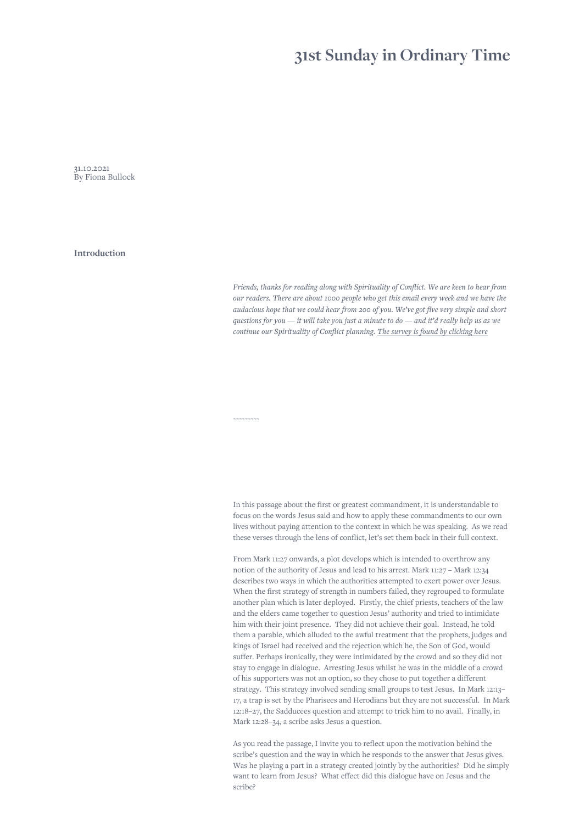# **31st Sunday in Ordinary Time**

31.10.2021 By Fiona Bullock

**Introduction**

*Friends, thanks for reading along with Spirituality of Conflict. We are keen to hear from our readers. There are about 1000 people who get this email every week and we have the audacious hope that we could hear from 200 of you. We've got five very simple and short questions for you — it will take you just a minute to do — and it'd really help us as we continue our Spirituality of Conflict planning. [The survey is found by clicking here](https://www.surveymonkey.com/r/RDWKGVL)*

In this passage about the first or greatest commandment, it is understandable to focus on the words Jesus said and how to apply these commandments to our own lives without paying attention to the context in which he was speaking. As we read these verses through the lens of conflict, let's set them back in their full context.

*~~~~~~~~~*

From Mark 11:27 onwards, a plot develops which is intended to overthrow any notion of the authority of Jesus and lead to his arrest. Mark 11:27 – Mark 12:34 describes two ways in which the authorities attempted to exert power over Jesus. When the first strategy of strength in numbers failed, they regrouped to formulate another plan which is later deployed. Firstly, the chief priests, teachers of the law and the elders came together to question Jesus' authority and tried to intimidate him with their joint presence. They did not achieve their goal. Instead, he told them a parable, which alluded to the awful treatment that the prophets, judges and kings of Israel had received and the rejection which he, the Son of God, would suffer. Perhaps ironically, they were intimidated by the crowd and so they did not stay to engage in dialogue. Arresting Jesus whilst he was in the middle of a crowd of his supporters was not an option, so they chose to put together a different strategy. This strategy involved sending small groups to test Jesus. In Mark 12:13– 17, a trap is set by the Pharisees and Herodians but they are not successful. In Mark 12:18–27, the Sadducees question and attempt to trick him to no avail. Finally, in Mark 12:28–34, a scribe asks Jesus a question.

As you read the passage, I invite you to reflect upon the motivation behind the scribe's question and the way in which he responds to the answer that Jesus gives. Was he playing a part in a strategy created jointly by the authorities? Did he simply want to learn from Jesus? What effect did this dialogue have on Jesus and the scribe?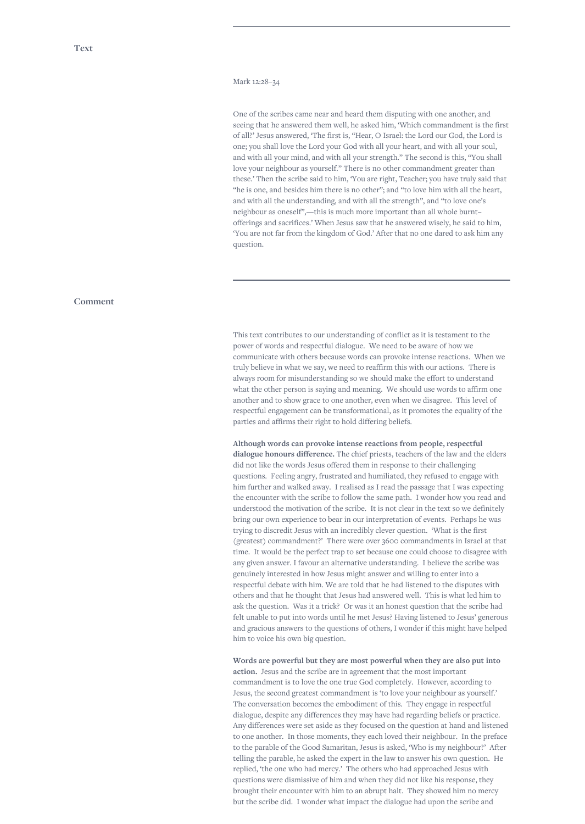## Mark 12:28–34

One of the scribes came near and heard them disputing with one another, and seeing that he answered them well, he asked him, 'Which commandment is the first of all?' Jesus answered, 'The first is, "Hear, O Israel: the Lord our God, the Lord is one; you shall love the Lord your God with all your heart, and with all your soul, and with all your mind, and with all your strength." The second is this, "You shall love your neighbour as yourself." There is no other commandment greater than these.' Then the scribe said to him, 'You are right, Teacher; you have truly said that "he is one, and besides him there is no other"; and "to love him with all the heart, and with all the understanding, and with all the strength", and "to love one's neighbour as oneself",—this is much more important than all whole burnt– offerings and sacrifices.' When Jesus saw that he answered wisely, he said to him, 'You are not far from the kingdom of God.' After that no one dared to ask him any question.

### **Comment**

This text contributes to our understanding of conflict as it is testament to the power of words and respectful dialogue. We need to be aware of how we communicate with others because words can provoke intense reactions. When we truly believe in what we say, we need to reaffirm this with our actions. There is always room for misunderstanding so we should make the effort to understand what the other person is saying and meaning. We should use words to affirm one another and to show grace to one another, even when we disagree. This level of respectful engagement can be transformational, as it promotes the equality of the parties and affirms their right to hold differing beliefs.

**Although words can provoke intense reactions from people, respectful dialogue honours difference.** The chief priests, teachers of the law and the elders did not like the words Jesus offered them in response to their challenging questions. Feeling angry, frustrated and humiliated, they refused to engage with him further and walked away. I realised as I read the passage that I was expecting the encounter with the scribe to follow the same path. I wonder how you read and understood the motivation of the scribe. It is not clear in the text so we definitely bring our own experience to bear in our interpretation of events. Perhaps he was trying to discredit Jesus with an incredibly clever question. 'What is the first (greatest) commandment?' There were over 3600 commandments in Israel at that time. It would be the perfect trap to set because one could choose to disagree with any given answer. I favour an alternative understanding. I believe the scribe was genuinely interested in how Jesus might answer and willing to enter into a respectful debate with him. We are told that he had listened to the disputes with others and that he thought that Jesus had answered well. This is what led him to ask the question. Was it a trick? Or was it an honest question that the scribe had felt unable to put into words until he met Jesus? Having listened to Jesus' generous and gracious answers to the questions of others, I wonder if this might have helped him to voice his own big question.

**Words are powerful but they are most powerful when they are also put into action.** Jesus and the scribe are in agreement that the most important commandment is to love the one true God completely. However, according to Jesus, the second greatest commandment is 'to love your neighbour as yourself.' The conversation becomes the embodiment of this. They engage in respectful dialogue, despite any differences they may have had regarding beliefs or practice. Any differences were set aside as they focused on the question at hand and listened to one another. In those moments, they each loved their neighbour. In the preface to the parable of the Good Samaritan, Jesus is asked, 'Who is my neighbour?' After telling the parable, he asked the expert in the law to answer his own question. He replied, 'the one who had mercy.' The others who had approached Jesus with questions were dismissive of him and when they did not like his response, they brought their encounter with him to an abrupt halt. They showed him no mercy but the scribe did. I wonder what impact the dialogue had upon the scribe and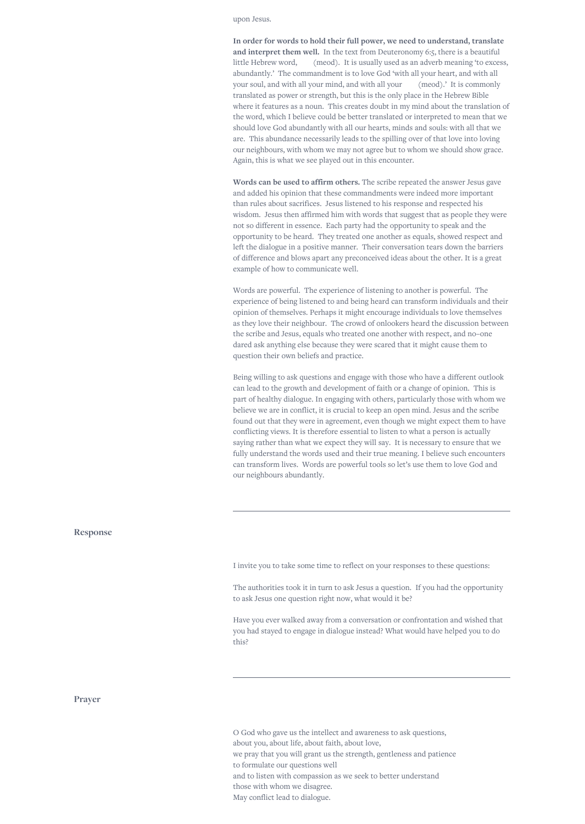upon Jesus.

**In order for words to hold their full power, we need to understand, translate and interpret them well.** In the text from Deuteronomy 6:5, there is a beautiful little Hebrew word, (meod). It is usually used as an adverb meaning 'to excess, abundantly.' The commandment is to love God 'with all your heart, and with all your soul, and with all your mind, and with all your (meod).' It is commonly translated as power or strength, but this is the only place in the Hebrew Bible where it features as a noun. This creates doubt in my mind about the translation of the word, which I believe could be better translated or interpreted to mean that we should love God abundantly with all our hearts, minds and souls: with all that we are. This abundance necessarily leads to the spilling over of that love into loving our neighbours, with whom we may not agree but to whom we should show grace. Again, this is what we see played out in this encounter.

**Words can be used to affirm others.** The scribe repeated the answer Jesus gave and added his opinion that these commandments were indeed more important than rules about sacrifices. Jesus listened to his response and respected his wisdom. Jesus then affirmed him with words that suggest that as people they were not so different in essence. Each party had the opportunity to speak and the opportunity to be heard. They treated one another as equals, showed respect and left the dialogue in a positive manner. Their conversation tears down the barriers of difference and blows apart any preconceived ideas about the other. It is a great example of how to communicate well.

Words are powerful. The experience of listening to another is powerful. The experience of being listened to and being heard can transform individuals and their opinion of themselves. Perhaps it might encourage individuals to love themselves as they love their neighbour. The crowd of onlookers heard the discussion between the scribe and Jesus, equals who treated one another with respect, and no–one dared ask anything else because they were scared that it might cause them to question their own beliefs and practice.

Being willing to ask questions and engage with those who have a different outlook can lead to the growth and development of faith or a change of opinion. This is part of healthy dialogue. In engaging with others, particularly those with whom we believe we are in conflict, it is crucial to keep an open mind. Jesus and the scribe found out that they were in agreement, even though we might expect them to have conflicting views. It is therefore essential to listen to what a person is actually saying rather than what we expect they will say. It is necessary to ensure that we fully understand the words used and their true meaning. I believe such encounters can transform lives. Words are powerful tools so let's use them to love God and our neighbours abundantly.

**Response**

I invite you to take some time to reflect on your responses to these questions:

The authorities took it in turn to ask Jesus a question. If you had the opportunity to ask Jesus one question right now, what would it be?

Have you ever walked away from a conversation or confrontation and wished that you had stayed to engage in dialogue instead? What would have helped you to do this?

**Prayer**

O God who gave us the intellect and awareness to ask questions, about you, about life, about faith, about love, we pray that you will grant us the strength, gentleness and patience to formulate our questions well and to listen with compassion as we seek to better understand those with whom we disagree. May conflict lead to dialogue.